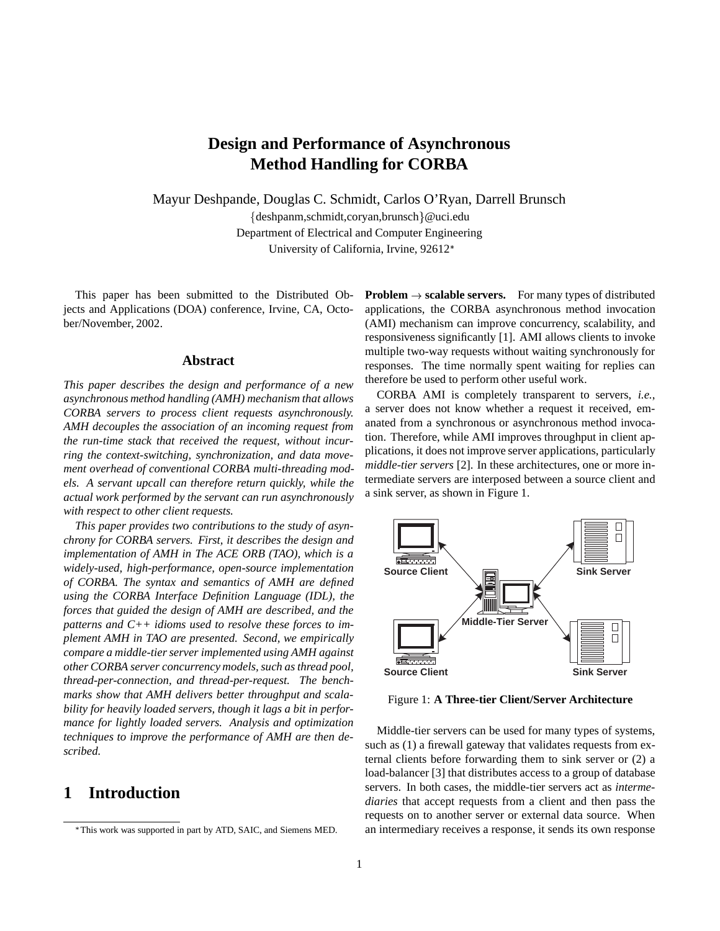# **Design and Performance of Asynchronous Method Handling for CORBA**

Mayur Deshpande, Douglas C. Schmidt, Carlos O'Ryan, Darrell Brunsch

 $\{deshpanm, schmidt, coryan, brunsch\}$ @uci.edu Department of Electrical and Computer Engineering University of California, Irvine, 92612

This paper has been submitted to the Distributed Objects and Applications (DOA) conference, Irvine, CA, October/November, 2002.

#### **Abstract**

*This paper describes the design and performance of a new asynchronous method handling (AMH) mechanism that allows CORBA servers to process client requests asynchronously. AMH decouples the association of an incoming request from the run-time stack that received the request, without incurring the context-switching, synchronization, and data movement overhead of conventional CORBA multi-threading models. A servant upcall can therefore return quickly, while the actual work performed by the servant can run asynchronously with respect to other client requests.*

*This paper provides two contributions to the study of asynchrony for CORBA servers. First, it describes the design and implementation of AMH in The ACE ORB (TAO), which is a widely-used, high-performance, open-source implementation of CORBA. The syntax and semantics of AMH are defined using the CORBA Interface Definition Language (IDL), the forces that guided the design of AMH are described, and the patterns and C++ idioms used to resolve these forces to implement AMH in TAO are presented. Second, we empirically compare a middle-tier server implemented using AMH against other CORBA server concurrency models, such as thread pool, thread-per-connection, and thread-per-request. The benchmarks show that AMH delivers better throughput and scalability for heavily loaded servers, though it lags a bit in performance for lightly loaded servers. Analysis and optimization techniques to improve the performance of AMH are then described.*

## **1 Introduction**

**Problem**  $\rightarrow$  **scalable servers.** For many types of distributed applications, the CORBA asynchronous method invocation (AMI) mechanism can improve concurrency, scalability, and responsiveness significantly [1]. AMI allows clients to invoke multiple two-way requests without waiting synchronously for responses. The time normally spent waiting for replies can therefore be used to perform other useful work.

CORBA AMI is completely transparent to servers, *i.e.*, a server does not know whether a request it received, emanated from a synchronous or asynchronous method invocation. Therefore, while AMI improves throughput in client applications, it does not improve server applications, particularly *middle-tier servers* [2]. In these architectures, one or more intermediate servers are interposed between a source client and a sink server, as shown in Figure 1.



Figure 1: **A Three-tier Client/Server Architecture**

Middle-tier servers can be used for many types of systems, such as (1) a firewall gateway that validates requests from external clients before forwarding them to sink server or (2) a load-balancer [3] that distributes access to a group of database servers. In both cases, the middle-tier servers act as *intermediaries* that accept requests from a client and then pass the requests on to another server or external data source. When an intermediary receives a response, it sends its own response

This work was supported in part by ATD, SAIC, and Siemens MED.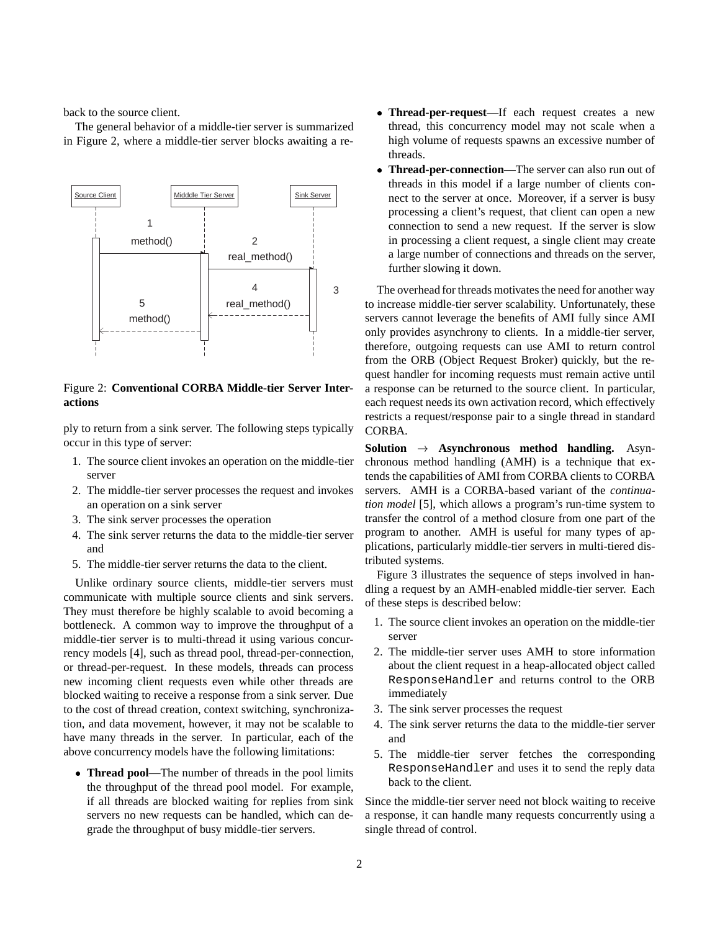back to the source client.

The general behavior of a middle-tier server is summarized in Figure 2, where a middle-tier server blocks awaiting a re-



Figure 2: **Conventional CORBA Middle-tier Server Interactions**

ply to return from a sink server. The following steps typically occur in this type of server:

- 1. The source client invokes an operation on the middle-tier server
- 2. The middle-tier server processes the request and invokes an operation on a sink server
- 3. The sink server processes the operation
- 4. The sink server returns the data to the middle-tier server and
- 5. The middle-tier server returns the data to the client.

Unlike ordinary source clients, middle-tier servers must communicate with multiple source clients and sink servers. They must therefore be highly scalable to avoid becoming a bottleneck. A common way to improve the throughput of a middle-tier server is to multi-thread it using various concurrency models [4], such as thread pool, thread-per-connection, or thread-per-request. In these models, threads can process new incoming client requests even while other threads are blocked waiting to receive a response from a sink server. Due to the cost of thread creation, context switching, synchronization, and data movement, however, it may not be scalable to have many threads in the server. In particular, each of the above concurrency models have the following limitations:

 **Thread pool**—The number of threads in the pool limits the throughput of the thread pool model. For example, if all threads are blocked waiting for replies from sink servers no new requests can be handled, which can degrade the throughput of busy middle-tier servers.

- **Thread-per-request**—If each request creates a new thread, this concurrency model may not scale when a high volume of requests spawns an excessive number of threads.
- **Thread-per-connection**—The server can also run out of threads in this model if a large number of clients connect to the server at once. Moreover, if a server is busy processing a client's request, that client can open a new connection to send a new request. If the server is slow in processing a client request, a single client may create a large number of connections and threads on the server, further slowing it down.

The overhead for threads motivates the need for another way to increase middle-tier server scalability. Unfortunately, these servers cannot leverage the benefits of AMI fully since AMI only provides asynchrony to clients. In a middle-tier server, therefore, outgoing requests can use AMI to return control from the ORB (Object Request Broker) quickly, but the request handler for incoming requests must remain active until a response can be returned to the source client. In particular, each request needs its own activation record, which effectively restricts a request/response pair to a single thread in standard CORBA.

**Solution**  $\rightarrow$  **Asynchronous method handling.** Asynchronous method handling (AMH) is a technique that extends the capabilities of AMI from CORBA clients to CORBA servers. AMH is a CORBA-based variant of the *continuation model* [5], which allows a program's run-time system to transfer the control of a method closure from one part of the program to another. AMH is useful for many types of applications, particularly middle-tier servers in multi-tiered distributed systems.

Figure 3 illustrates the sequence of steps involved in handling a request by an AMH-enabled middle-tier server. Each of these steps is described below:

- 1. The source client invokes an operation on the middle-tier server
- 2. The middle-tier server uses AMH to store information about the client request in a heap-allocated object called ResponseHandler and returns control to the ORB immediately
- 3. The sink server processes the request
- 4. The sink server returns the data to the middle-tier server and
- 5. The middle-tier server fetches the corresponding ResponseHandler and uses it to send the reply data back to the client.

Since the middle-tier server need not block waiting to receive a response, it can handle many requests concurrently using a single thread of control.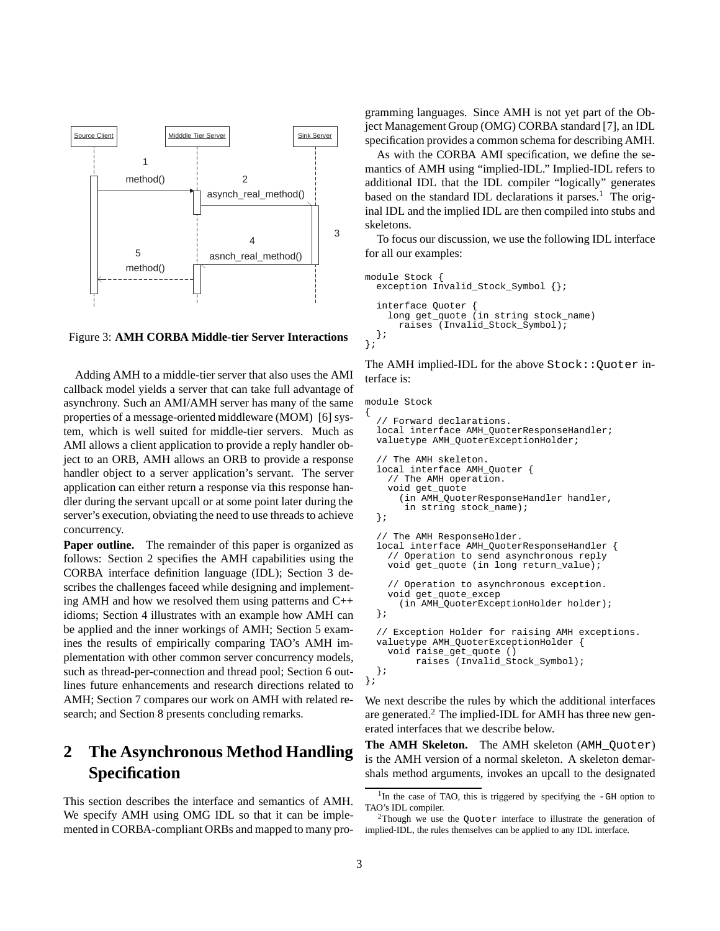

Figure 3: **AMH CORBA Middle-tier Server Interactions**

Adding AMH to a middle-tier server that also uses the AMI callback model yields a server that can take full advantage of asynchrony. Such an AMI/AMH server has many of the same properties of a message-oriented middleware (MOM) [6] system, which is well suited for middle-tier servers. Much as AMI allows a client application to provide a reply handler object to an ORB, AMH allows an ORB to provide a response handler object to a server application's servant. The server application can either return a response via this response handler during the servant upcall or at some point later during the server's execution, obviating the need to use threads to achieve concurrency.

**Paper outline.** The remainder of this paper is organized as follows: Section 2 specifies the AMH capabilities using the CORBA interface definition language (IDL); Section 3 describes the challenges faceed while designing and implementing AMH and how we resolved them using patterns and C++ idioms; Section 4 illustrates with an example how AMH can be applied and the inner workings of AMH; Section 5 examines the results of empirically comparing TAO's AMH implementation with other common server concurrency models, such as thread-per-connection and thread pool; Section 6 outlines future enhancements and research directions related to AMH; Section 7 compares our work on AMH with related research; and Section 8 presents concluding remarks.

# **2 The Asynchronous Method Handling Specification**

This section describes the interface and semantics of AMH. We specify AMH using OMG IDL so that it can be implemented in CORBA-compliant ORBs and mapped to many programming languages. Since AMH is not yet part of the Object Management Group (OMG) CORBA standard [7], an IDL specification provides a common schema for describing AMH.

As with the CORBA AMI specification, we define the semantics of AMH using "implied-IDL." Implied-IDL refers to additional IDL that the IDL compiler "logically" generates based on the standard IDL declarations it parses.<sup>1</sup> The original IDL and the implied IDL are then compiled into stubs and skeletons.

To focus our discussion, we use the following IDL interface for all our examples:

```
module Stock {
  exception Invalid_Stock_Symbol {};
  interface Quoter {
    long get_quote (in string stock_name)
      raises (Invalid_Stock_Symbol);
  };
};
```
The AMH implied-IDL for the above Stock::Quoter interface is:

```
module Stock
```
{

```
// Forward declarations.
  local interface AMH_QuoterResponseHandler;
  valuetype AMH_QuoterExceptionHolder;
  // The AMH skeleton.
  local interface AMH_Quoter {
    // The AMH operation.
    void get_quote
      (in AMH_QuoterResponseHandler handler,
       in string stock_name);
  };
  // The AMH ResponseHolder.
  local interface AMH_QuoterResponseHandler {
    // Operation to send asynchronous reply
    void get_quote (in long return_value);
    // Operation to asynchronous exception.
    void get_quote_excep
      (in AMH_QuoterExceptionHolder holder);
  };
  // Exception Holder for raising AMH exceptions.
  valuetype AMH_QuoterExceptionHolder {
    void raise_get_quote ()
         raises (Invalid_Stock_Symbol);
 };
};
```
We next describe the rules by which the additional interfaces are generated.<sup>2</sup> The implied-IDL for AMH has three new generated interfaces that we describe below.

**The AMH Skeleton.** The AMH skeleton (AMH\_Quoter) is the AMH version of a normal skeleton. A skeleton demarshals method arguments, invokes an upcall to the designated

 $1$ In the case of TAO, this is triggered by specifying the  $-GH$  option to TAO's IDL compiler.

 $2$ Though we use the Quoter interface to illustrate the generation of implied-IDL, the rules themselves can be applied to any IDL interface.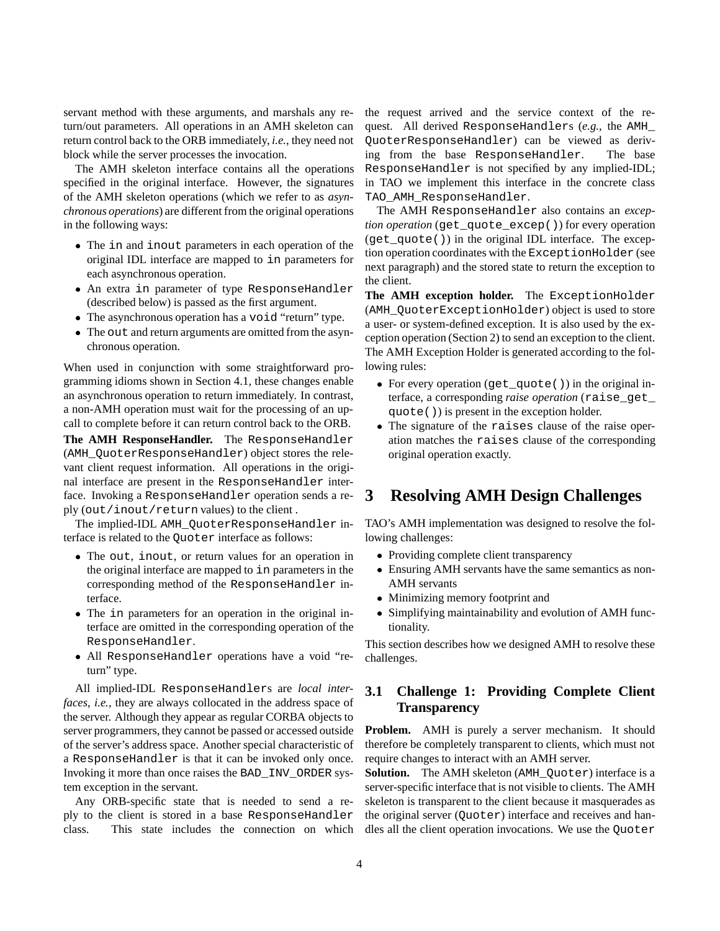servant method with these arguments, and marshals any return/out parameters. All operations in an AMH skeleton can return control back to the ORB immediately, *i.e.*, they need not block while the server processes the invocation.

The AMH skeleton interface contains all the operations specified in the original interface. However, the signatures of the AMH skeleton operations (which we refer to as *asynchronous operations*) are different from the original operations in the following ways:

- The in and inout parameters in each operation of the original IDL interface are mapped to in parameters for each asynchronous operation.
- An extra in parameter of type ResponseHandler (described below) is passed as the first argument.
- The asynchronous operation has a void "return" type.
- The out and return arguments are omitted from the asynchronous operation.

When used in conjunction with some straightforward programming idioms shown in Section 4.1, these changes enable an asynchronous operation to return immediately. In contrast, a non-AMH operation must wait for the processing of an upcall to complete before it can return control back to the ORB. The AMH ResponseHandler. The ResponseHandler

(AMH\_QuoterResponseHandler) object stores the relevant client request information. All operations in the original interface are present in the ResponseHandler interface. Invoking a ResponseHandler operation sends a reply (out/inout/return values) to the client .

The implied-IDL AMH\_QuoterResponseHandler interface is related to the Quoter interface as follows:

- The out, inout, or return values for an operation in the original interface are mapped to in parameters in the corresponding method of the ResponseHandler interface.
- The in parameters for an operation in the original interface are omitted in the corresponding operation of the ResponseHandler.
- All ResponseHandler operations have a void "return" type.

All implied-IDL ResponseHandlers are *local interfaces*, *i.e.*, they are always collocated in the address space of the server. Although they appear as regular CORBA objects to server programmers, they cannot be passed or accessed outside of the server's address space. Another special characteristic of a ResponseHandler is that it can be invoked only once. Invoking it more than once raises the BAD\_INV\_ORDER system exception in the servant.

Any ORB-specific state that is needed to send a reply to the client is stored in a base ResponseHandler class. This state includes the connection on which the request arrived and the service context of the request. All derived ResponseHandlers (*e.g.*, the AMH\_ QuoterResponseHandler) can be viewed as deriving from the base ResponseHandler. The base ResponseHandler is not specified by any implied-IDL; in TAO we implement this interface in the concrete class TAO\_AMH\_ResponseHandler.

The AMH ResponseHandler also contains an *exception operation* (get\_quote\_excep()) for every operation (get\_quote()) in the original IDL interface. The exception operation coordinates with the ExceptionHolder (see next paragraph) and the stored state to return the exception to the client.

**The AMH exception holder.** The ExceptionHolder (AMH\_QuoterExceptionHolder) object is used to store a user- or system-defined exception. It is also used by the exception operation (Section 2) to send an exception to the client. The AMH Exception Holder is generated according to the following rules:

- For every operation  $(\text{get\_quote}())$  in the original interface, a corresponding *raise operation* (raise\_get\_ quote()) is present in the exception holder.
- The signature of the raises clause of the raise operation matches the raises clause of the corresponding original operation exactly.

# **3 Resolving AMH Design Challenges**

TAO's AMH implementation was designed to resolve the following challenges:

- Providing complete client transparency
- Ensuring AMH servants have the same semantics as non-AMH servants
- Minimizing memory footprint and
- Simplifying maintainability and evolution of AMH functionality.

This section describes how we designed AMH to resolve these challenges.

### **3.1 Challenge 1: Providing Complete Client Transparency**

**Problem.** AMH is purely a server mechanism. It should therefore be completely transparent to clients, which must not require changes to interact with an AMH server.

**Solution.** The AMH skeleton (AMH Ouoter) interface is a server-specific interface that is not visible to clients. The AMH skeleton is transparent to the client because it masquerades as the original server (Quoter) interface and receives and handles all the client operation invocations. We use the Quoter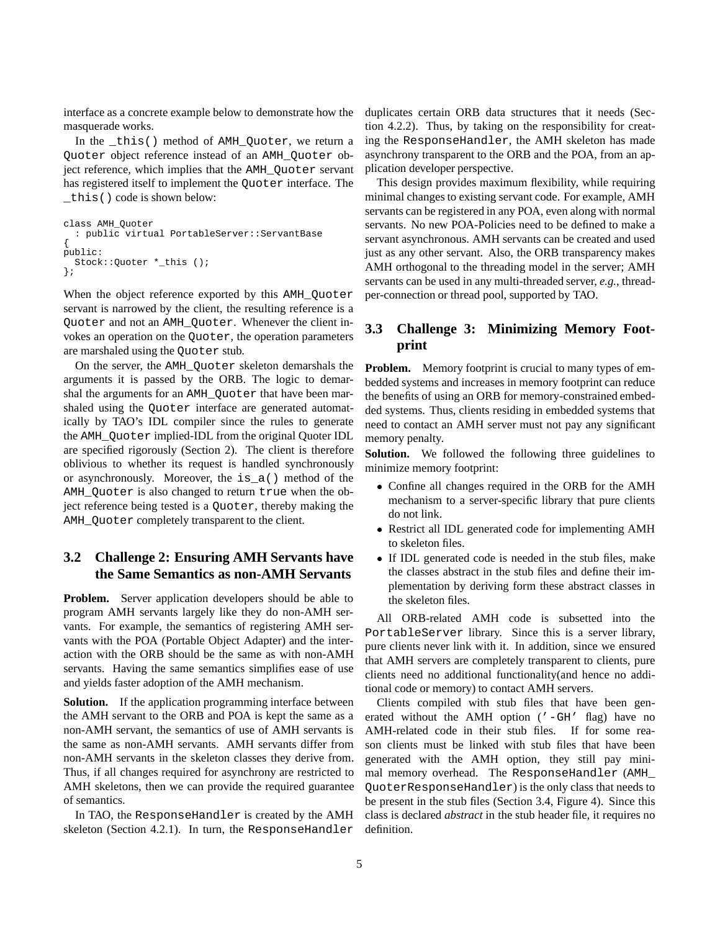interface as a concrete example below to demonstrate how the masquerade works.

In the \_this() method of AMH\_Quoter, we return a Quoter object reference instead of an AMH\_Quoter object reference, which implies that the AMH\_Quoter servant has registered itself to implement the Ouoter interface. The \_this() code is shown below:

```
class AMH_Quoter
  : public virtual PortableServer::ServantBase
{
public:
 Stock::Quoter *_this ();
};
```
When the object reference exported by this AMH Ouoter servant is narrowed by the client, the resulting reference is a Quoter and not an AMH\_Quoter. Whenever the client invokes an operation on the Quoter, the operation parameters are marshaled using the Quoter stub.

On the server, the AMH\_Quoter skeleton demarshals the arguments it is passed by the ORB. The logic to demarshal the arguments for an AMH\_Quoter that have been marshaled using the Quoter interface are generated automatically by TAO's IDL compiler since the rules to generate the AMH\_Quoter implied-IDL from the original Quoter IDL are specified rigorously (Section 2). The client is therefore oblivious to whether its request is handled synchronously or asynchronously. Moreover, the is\_a() method of the AMH\_Quoter is also changed to return true when the object reference being tested is a Quoter, thereby making the AMH Ouoter completely transparent to the client.

### **3.2 Challenge 2: Ensuring AMH Servants have the Same Semantics as non-AMH Servants**

**Problem.** Server application developers should be able to program AMH servants largely like they do non-AMH servants. For example, the semantics of registering AMH servants with the POA (Portable Object Adapter) and the interaction with the ORB should be the same as with non-AMH servants. Having the same semantics simplifies ease of use and yields faster adoption of the AMH mechanism.

**Solution.** If the application programming interface between the AMH servant to the ORB and POA is kept the same as a non-AMH servant, the semantics of use of AMH servants is the same as non-AMH servants. AMH servants differ from non-AMH servants in the skeleton classes they derive from. Thus, if all changes required for asynchrony are restricted to AMH skeletons, then we can provide the required guarantee of semantics.

In TAO, the ResponseHandler is created by the AMH skeleton (Section 4.2.1). In turn, the ResponseHandler duplicates certain ORB data structures that it needs (Section 4.2.2). Thus, by taking on the responsibility for creating the ResponseHandler, the AMH skeleton has made asynchrony transparent to the ORB and the POA, from an application developer perspective.

This design provides maximum flexibility, while requiring minimal changes to existing servant code. For example, AMH servants can be registered in any POA, even along with normal servants. No new POA-Policies need to be defined to make a servant asynchronous. AMH servants can be created and used just as any other servant. Also, the ORB transparency makes AMH orthogonal to the threading model in the server; AMH servants can be used in any multi-threaded server, *e.g.*, threadper-connection or thread pool, supported by TAO.

## **3.3 Challenge 3: Minimizing Memory Footprint**

**Problem.** Memory footprint is crucial to many types of embedded systems and increases in memory footprint can reduce the benefits of using an ORB for memory-constrained embedded systems. Thus, clients residing in embedded systems that need to contact an AMH server must not pay any significant memory penalty.

**Solution.** We followed the following three guidelines to minimize memory footprint:

- Confine all changes required in the ORB for the AMH mechanism to a server-specific library that pure clients do not link.
- Restrict all IDL generated code for implementing AMH to skeleton files.
- If IDL generated code is needed in the stub files, make the classes abstract in the stub files and define their implementation by deriving form these abstract classes in the skeleton files.

All ORB-related AMH code is subsetted into the PortableServer library. Since this is a server library, pure clients never link with it. In addition, since we ensured that AMH servers are completely transparent to clients, pure clients need no additional functionality(and hence no additional code or memory) to contact AMH servers.

Clients compiled with stub files that have been generated without the AMH option ('-GH' flag) have no AMH-related code in their stub files. If for some reason clients must be linked with stub files that have been generated with the AMH option, they still pay minimal memory overhead. The ResponseHandler (AMH\_ QuoterResponseHandler) is the only class that needs to be present in the stub files (Section 3.4, Figure 4). Since this class is declared *abstract* in the stub header file, it requires no definition.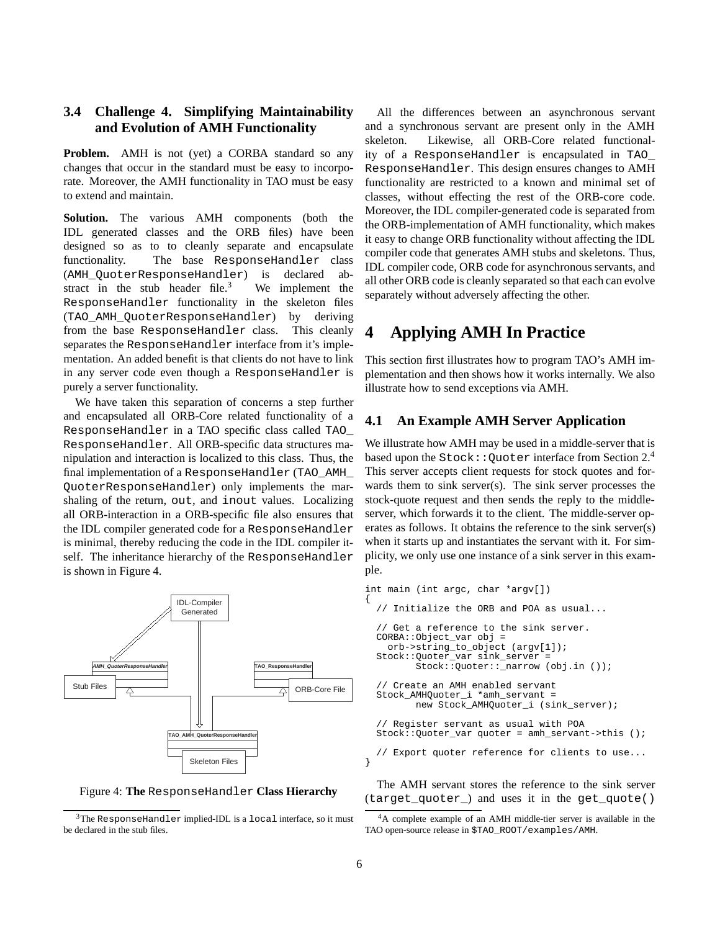### **3.4 Challenge 4. Simplifying Maintainability and Evolution of AMH Functionality**

**Problem.** AMH is not (yet) a CORBA standard so any changes that occur in the standard must be easy to incorporate. Moreover, the AMH functionality in TAO must be easy to extend and maintain.

**Solution.** The various AMH components (both the IDL generated classes and the ORB files) have been designed so as to to cleanly separate and encapsulate functionality. The base ResponseHandler class (AMH\_QuoterResponseHandler) is declared abstract in the stub header file.<sup>3</sup> We implement the ResponseHandler functionality in the skeleton files (TAO\_AMH\_QuoterResponseHandler) by deriving from the base ResponseHandler class. This cleanly separates the ResponseHandler interface from it's implementation. An added benefit is that clients do not have to link in any server code even though a ResponseHandler is purely a server functionality.

We have taken this separation of concerns a step further and encapsulated all ORB-Core related functionality of a ResponseHandler in a TAO specific class called TAO\_ ResponseHandler. All ORB-specific data structures manipulation and interaction is localized to this class. Thus, the final implementation of a ResponseHandler (TAO\_AMH\_ QuoterResponseHandler) only implements the marshaling of the return, out, and inout values. Localizing all ORB-interaction in a ORB-specific file also ensures that the IDL compiler generated code for a ResponseHandler is minimal, thereby reducing the code in the IDL compiler itself. The inheritance hierarchy of the ResponseHandler is shown in Figure 4.





 $3$ The ResponseHandler implied-IDL is a local interface, so it must be declared in the stub files.

All the differences between an asynchronous servant and a synchronous servant are present only in the AMH skeleton. Likewise, all ORB-Core related functionality of a ResponseHandler is encapsulated in TAO\_ ResponseHandler. This design ensures changes to AMH functionality are restricted to a known and minimal set of classes, without effecting the rest of the ORB-core code. Moreover, the IDL compiler-generated code is separated from the ORB-implementation of AMH functionality, which makes it easy to change ORB functionality without affecting the IDL compiler code that generates AMH stubs and skeletons. Thus, IDL compiler code, ORB code for asynchronous servants, and all other ORB code is cleanly separated so that each can evolve separately without adversely affecting the other.

## **4 Applying AMH In Practice**

This section first illustrates how to program TAO's AMH implementation and then shows how it works internally. We also illustrate how to send exceptions via AMH.

#### **4.1 An Example AMH Server Application**

We illustrate how AMH may be used in a middle-server that is based upon the Stock:: Quoter interface from Section 2.4 This server accepts client requests for stock quotes and forwards them to sink server(s). The sink server processes the stock-quote request and then sends the reply to the middleserver, which forwards it to the client. The middle-server operates as follows. It obtains the reference to the sink server(s) when it starts up and instantiates the servant with it. For simplicity, we only use one instance of a sink server in this example.

```
int main (int argc, char *argv[])
{
  // Initialize the ORB and POA as usual...
  // Get a reference to the sink server.
 CORBA::Object_var obj =
    orb->string_to_object (argv[1]);
  Stock::Quoter_var sink_server =
         Stock::Quoter::_narrow (obj.in ());
  // Create an AMH enabled servant
  Stock_AMHQuoter_i *amh_servant =
         new Stock_AMHQuoter_i (sink_server);
  // Register servant as usual with POA
 Stock::Quoter_var quoter = amh_servant->this ();
  // Export quoter reference for clients to use...
}
```
The AMH servant stores the reference to the sink server (target\_quoter\_) and uses it in the get\_quote()

<sup>4</sup>A complete example of an AMH middle-tier server is available in the TAO open-source release in \$TAO\_ROOT/examples/AMH.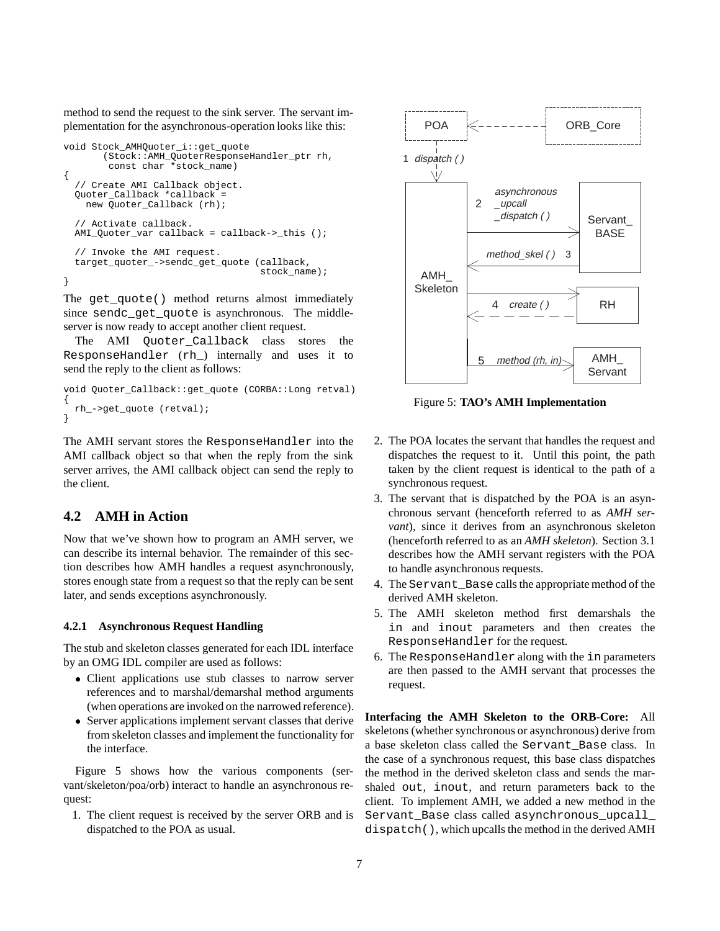method to send the request to the sink server. The servant implementation for the asynchronous-operation looks like this:

```
void Stock_AMHQuoter_i::get_quote
       (Stock::AMH_QuoterResponseHandler_ptr rh,
        const char *stock_name)
{
  // Create AMI Callback object.
  Quoter_Callback *callback =
    new Quoter Callback (rh);
  // Activate callback.
 AMI_Quoter_var callback = callback->_this ();
  // Invoke the AMI request.
  target_quoter_->sendc_get_quote (callback,
                                    stock_name);
}
```
The get quote() method returns almost immediately since sendc get quote is asynchronous. The middleserver is now ready to accept another client request.

The AMI Quoter Callback class stores the ResponseHandler (rh\_) internally and uses it to send the reply to the client as follows:

```
void Quoter_Callback::get_quote (CORBA::Long retval)
{
  rh_->get_quote (retval);
}
```
The AMH servant stores the ResponseHandler into the AMI callback object so that when the reply from the sink server arrives, the AMI callback object can send the reply to the client.

### **4.2 AMH in Action**

Now that we've shown how to program an AMH server, we can describe its internal behavior. The remainder of this section describes how AMH handles a request asynchronously, stores enough state from a request so that the reply can be sent later, and sends exceptions asynchronously.

#### **4.2.1 Asynchronous Request Handling**

The stub and skeleton classes generated for each IDL interface by an OMG IDL compiler are used as follows:

- Client applications use stub classes to narrow server references and to marshal/demarshal method arguments (when operations are invoked on the narrowed reference).
- Server applications implement servant classes that derive from skeleton classes and implement the functionality for the interface.

Figure 5 shows how the various components (servant/skeleton/poa/orb) interact to handle an asynchronous request:

1. The client request is received by the server ORB and is dispatched to the POA as usual.



Figure 5: **TAO's AMH Implementation**

- 2. The POA locates the servant that handles the request and dispatches the request to it. Until this point, the path taken by the client request is identical to the path of a synchronous request.
- 3. The servant that is dispatched by the POA is an asynchronous servant (henceforth referred to as *AMH servant*), since it derives from an asynchronous skeleton (henceforth referred to as an *AMH skeleton*). Section 3.1 describes how the AMH servant registers with the POA to handle asynchronous requests.
- 4. The Servant\_Base calls the appropriate method of the derived AMH skeleton.
- 5. The AMH skeleton method first demarshals the in and inout parameters and then creates the ResponseHandler for the request.
- 6. The ResponseHandler along with the in parameters are then passed to the AMH servant that processes the request.

**Interfacing the AMH Skeleton to the ORB-Core:** All skeletons (whether synchronous or asynchronous) derive from a base skeleton class called the Servant\_Base class. In the case of a synchronous request, this base class dispatches the method in the derived skeleton class and sends the marshaled out, inout, and return parameters back to the client. To implement AMH, we added a new method in the Servant\_Base class called asynchronous\_upcall\_ dispatch(), which upcalls the method in the derived AMH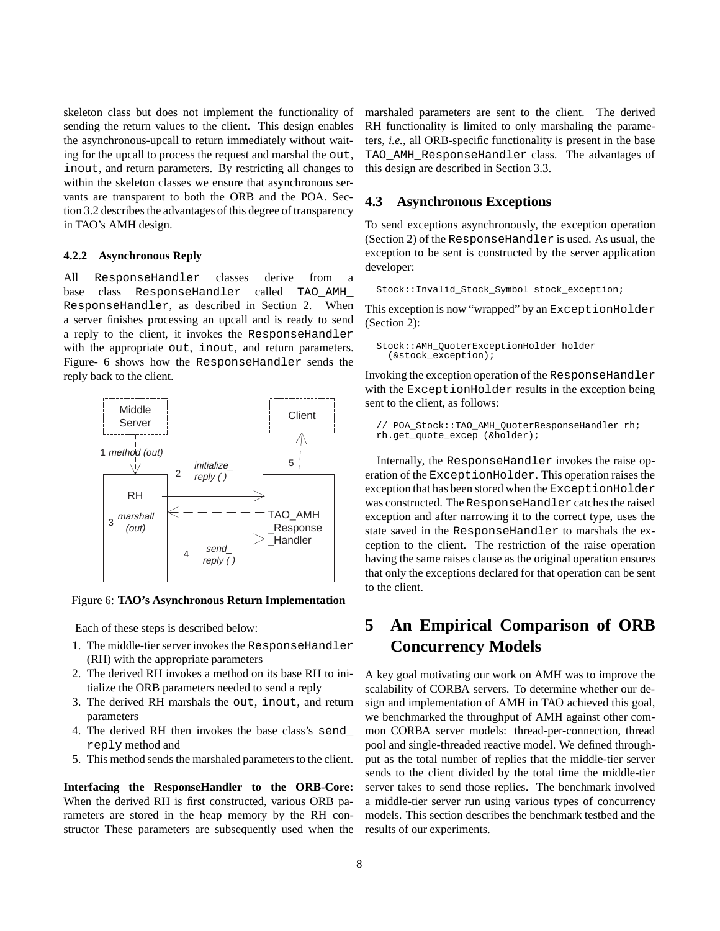skeleton class but does not implement the functionality of sending the return values to the client. This design enables the asynchronous-upcall to return immediately without waiting for the upcall to process the request and marshal the out, inout, and return parameters. By restricting all changes to within the skeleton classes we ensure that asynchronous servants are transparent to both the ORB and the POA. Section 3.2 describes the advantages of this degree of transparency in TAO's AMH design.

#### **4.2.2 Asynchronous Reply**

All ResponseHandler classes derive from a base class ResponseHandler called TAO\_AMH\_ ResponseHandler, as described in Section 2. When a server finishes processing an upcall and is ready to send a reply to the client, it invokes the ResponseHandler with the appropriate out, inout, and return parameters. Figure- 6 shows how the ResponseHandler sends the reply back to the client.



Figure 6: **TAO's Asynchronous Return Implementation**

Each of these steps is described below:

- 1. The middle-tier server invokes the ResponseHandler (RH) with the appropriate parameters
- 2. The derived RH invokes a method on its base RH to initialize the ORB parameters needed to send a reply
- 3. The derived RH marshals the out, inout, and return parameters
- 4. The derived RH then invokes the base class's send\_ reply method and
- 5. This method sends the marshaled parameters to the client.

**Interfacing the ResponseHandler to the ORB-Core:** When the derived RH is first constructed, various ORB parameters are stored in the heap memory by the RH constructor These parameters are subsequently used when the marshaled parameters are sent to the client. The derived RH functionality is limited to only marshaling the parameters, *i.e.*, all ORB-specific functionality is present in the base TAO\_AMH\_ResponseHandler class. The advantages of this design are described in Section 3.3.

#### **4.3 Asynchronous Exceptions**

To send exceptions asynchronously, the exception operation (Section 2) of the ResponseHandler is used. As usual, the exception to be sent is constructed by the server application developer:

Stock::Invalid\_Stock\_Symbol stock\_exception;

This exception is now "wrapped" by an ExceptionHolder (Section 2):

```
Stock::AMH_QuoterExceptionHolder holder
  (&stock_exception);
```
Invoking the exception operation of the ResponseHandler with the ExceptionHolder results in the exception being sent to the client, as follows:

```
// POA Stock::TAO AMH QuoterResponseHandler rh;
rh.get_quote_excep (&holder);
```
Internally, the ResponseHandler invokes the raise operation of the ExceptionHolder. This operation raises the exception that has been stored when the ExceptionHolder was constructed. The ResponseHandler catches the raised exception and after narrowing it to the correct type, uses the state saved in the ResponseHandler to marshals the exception to the client. The restriction of the raise operation having the same raises clause as the original operation ensures that only the exceptions declared for that operation can be sent to the client.

# **5 An Empirical Comparison of ORB Concurrency Models**

A key goal motivating our work on AMH was to improve the scalability of CORBA servers. To determine whether our design and implementation of AMH in TAO achieved this goal, we benchmarked the throughput of AMH against other common CORBA server models: thread-per-connection, thread pool and single-threaded reactive model. We defined throughput as the total number of replies that the middle-tier server sends to the client divided by the total time the middle-tier server takes to send those replies. The benchmark involved a middle-tier server run using various types of concurrency models. This section describes the benchmark testbed and the results of our experiments.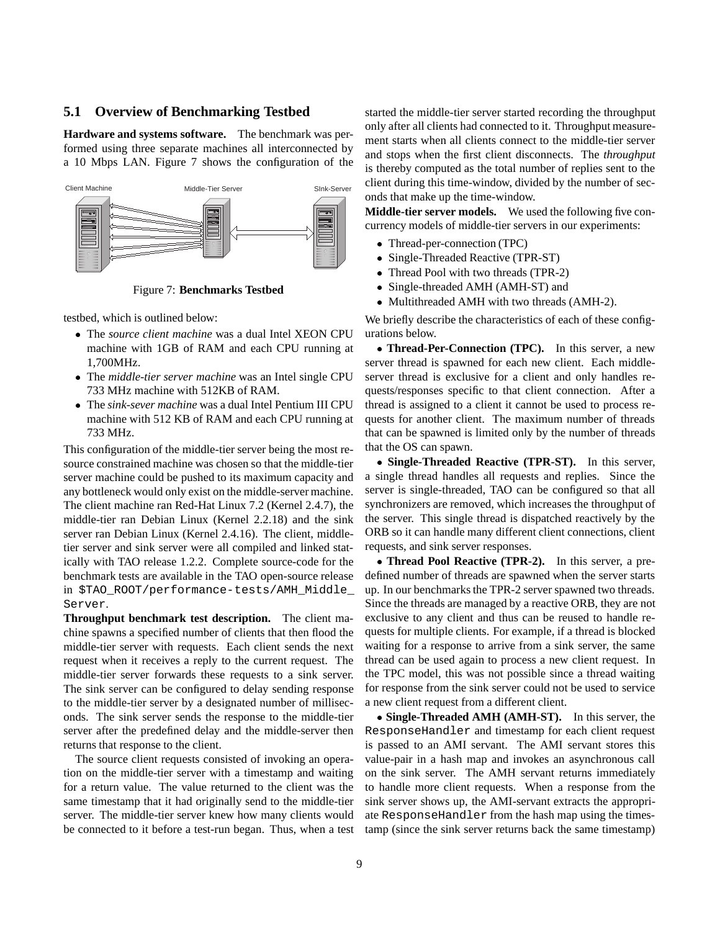#### **5.1 Overview of Benchmarking Testbed**

**Hardware and systems software.** The benchmark was performed using three separate machines all interconnected by a 10 Mbps LAN. Figure 7 shows the configuration of the



Figure 7: **Benchmarks Testbed**

testbed, which is outlined below:

- The *source client machine* was a dual Intel XEON CPU machine with 1GB of RAM and each CPU running at 1,700MHz.
- The *middle-tier server machine* was an Intel single CPU 733 MHz machine with 512KB of RAM.
- The *sink-sever machine* was a dual Intel Pentium III CPU machine with 512 KB of RAM and each CPU running at 733 MHz.

This configuration of the middle-tier server being the most resource constrained machine was chosen so that the middle-tier server machine could be pushed to its maximum capacity and any bottleneck would only exist on the middle-server machine. The client machine ran Red-Hat Linux 7.2 (Kernel 2.4.7), the middle-tier ran Debian Linux (Kernel 2.2.18) and the sink server ran Debian Linux (Kernel 2.4.16). The client, middletier server and sink server were all compiled and linked statically with TAO release 1.2.2. Complete source-code for the benchmark tests are available in the TAO open-source release in \$TAO\_ROOT/performance-tests/AMH\_Middle\_ Server.

**Throughput benchmark test description.** The client machine spawns a specified number of clients that then flood the middle-tier server with requests. Each client sends the next request when it receives a reply to the current request. The middle-tier server forwards these requests to a sink server. The sink server can be configured to delay sending response to the middle-tier server by a designated number of milliseconds. The sink server sends the response to the middle-tier server after the predefined delay and the middle-server then returns that response to the client.

The source client requests consisted of invoking an operation on the middle-tier server with a timestamp and waiting for a return value. The value returned to the client was the same timestamp that it had originally send to the middle-tier server. The middle-tier server knew how many clients would be connected to it before a test-run began. Thus, when a test started the middle-tier server started recording the throughput only after all clients had connected to it. Throughput measurement starts when all clients connect to the middle-tier server and stops when the first client disconnects. The *throughput* is thereby computed as the total number of replies sent to the client during this time-window, divided by the number of seconds that make up the time-window.

**Middle-tier server models.** We used the following five concurrency models of middle-tier servers in our experiments:

- Thread-per-connection (TPC)
- Single-Threaded Reactive (TPR-ST)
- Thread Pool with two threads (TPR-2)
- Single-threaded AMH (AMH-ST) and
- Multithreaded AMH with two threads (AMH-2).

We briefly describe the characteristics of each of these configurations below.

 **Thread-Per-Connection (TPC).** In this server, a new server thread is spawned for each new client. Each middleserver thread is exclusive for a client and only handles requests/responses specific to that client connection. After a thread is assigned to a client it cannot be used to process requests for another client. The maximum number of threads that can be spawned is limited only by the number of threads that the OS can spawn.

 **Single-Threaded Reactive (TPR-ST).** In this server, a single thread handles all requests and replies. Since the server is single-threaded, TAO can be configured so that all synchronizers are removed, which increases the throughput of the server. This single thread is dispatched reactively by the ORB so it can handle many different client connections, client requests, and sink server responses.

 **Thread Pool Reactive (TPR-2).** In this server, a predefined number of threads are spawned when the server starts up. In our benchmarks the TPR-2 server spawned two threads. Since the threads are managed by a reactive ORB, they are not exclusive to any client and thus can be reused to handle requests for multiple clients. For example, if a thread is blocked waiting for a response to arrive from a sink server, the same thread can be used again to process a new client request. In the TPC model, this was not possible since a thread waiting for response from the sink server could not be used to service a new client request from a different client.

 **Single-Threaded AMH (AMH-ST).** In this server, the ResponseHandler and timestamp for each client request is passed to an AMI servant. The AMI servant stores this value-pair in a hash map and invokes an asynchronous call on the sink server. The AMH servant returns immediately to handle more client requests. When a response from the sink server shows up, the AMI-servant extracts the appropriate ResponseHandler from the hash map using the timestamp (since the sink server returns back the same timestamp)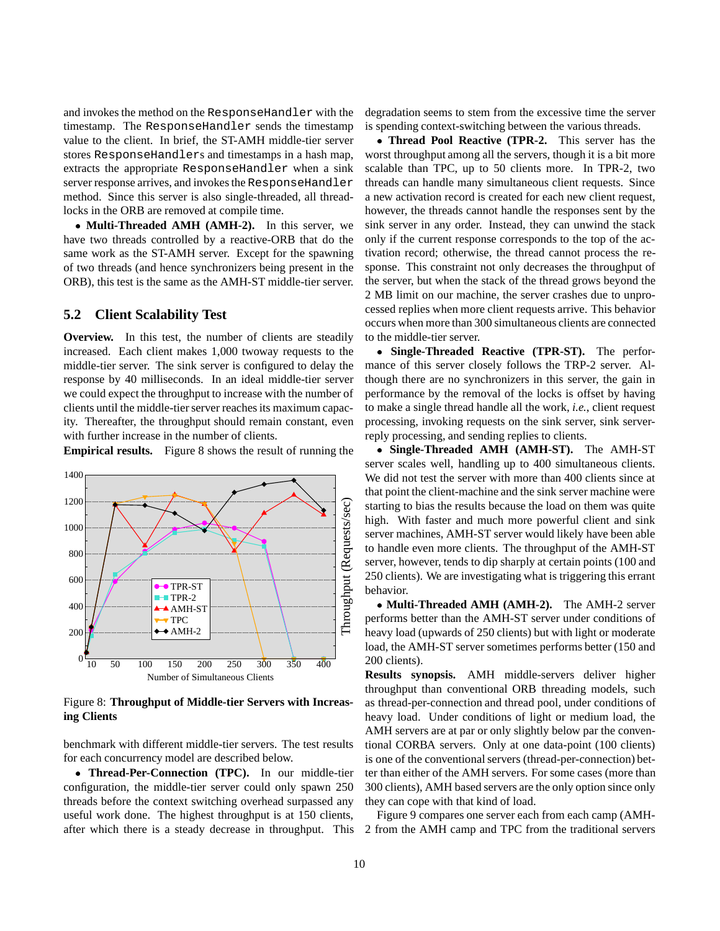and invokes the method on the ResponseHandler with the timestamp. The ResponseHandler sends the timestamp value to the client. In brief, the ST-AMH middle-tier server stores ResponseHandlers and timestamps in a hash map, extracts the appropriate ResponseHandler when a sink server response arrives, and invokes the ResponseHandler method. Since this server is also single-threaded, all threadlocks in the ORB are removed at compile time.

 **Multi-Threaded AMH (AMH-2).** In this server, we have two threads controlled by a reactive-ORB that do the same work as the ST-AMH server. Except for the spawning of two threads (and hence synchronizers being present in the ORB), this test is the same as the AMH-ST middle-tier server.

#### **5.2 Client Scalability Test**

**Overview.** In this test, the number of clients are steadily increased. Each client makes 1,000 twoway requests to the middle-tier server. The sink server is configured to delay the response by 40 milliseconds. In an ideal middle-tier server we could expect the throughput to increase with the number of clients until the middle-tier server reaches its maximum capacity. Thereafter, the throughput should remain constant, even with further increase in the number of clients.

**Empirical results.** Figure 8 shows the result of running the



Figure 8: **Throughput of Middle-tier Servers with Increasing Clients**

benchmark with different middle-tier servers. The test results for each concurrency model are described below.

 **Thread-Per-Connection (TPC).** In our middle-tier configuration, the middle-tier server could only spawn 250 threads before the context switching overhead surpassed any useful work done. The highest throughput is at 150 clients, after which there is a steady decrease in throughput. This degradation seems to stem from the excessive time the server is spending context-switching between the various threads.

 **Thread Pool Reactive (TPR-2.** This server has the worst throughput among all the servers, though it is a bit more scalable than TPC, up to 50 clients more. In TPR-2, two threads can handle many simultaneous client requests. Since a new activation record is created for each new client request, however, the threads cannot handle the responses sent by the sink server in any order. Instead, they can unwind the stack only if the current response corresponds to the top of the activation record; otherwise, the thread cannot process the response. This constraint not only decreases the throughput of the server, but when the stack of the thread grows beyond the 2 MB limit on our machine, the server crashes due to unprocessed replies when more client requests arrive. This behavior occurs when more than 300 simultaneous clients are connected to the middle-tier server.

 **Single-Threaded Reactive (TPR-ST).** The performance of this server closely follows the TRP-2 server. Although there are no synchronizers in this server, the gain in performance by the removal of the locks is offset by having to make a single thread handle all the work, *i.e.*, client request processing, invoking requests on the sink server, sink serverreply processing, and sending replies to clients.

 **Single-Threaded AMH (AMH-ST).** The AMH-ST server scales well, handling up to 400 simultaneous clients. We did not test the server with more than 400 clients since at that point the client-machine and the sink server machine were starting to bias the results because the load on them was quite high. With faster and much more powerful client and sink server machines, AMH-ST server would likely have been able to handle even more clients. The throughput of the AMH-ST server, however, tends to dip sharply at certain points (100 and 250 clients). We are investigating what is triggering this errant behavior.

 **Multi-Threaded AMH (AMH-2).** The AMH-2 server performs better than the AMH-ST server under conditions of heavy load (upwards of 250 clients) but with light or moderate load, the AMH-ST server sometimes performs better (150 and 200 clients).

**Results synopsis.** AMH middle-servers deliver higher throughput than conventional ORB threading models, such as thread-per-connection and thread pool, under conditions of heavy load. Under conditions of light or medium load, the AMH servers are at par or only slightly below par the conventional CORBA servers. Only at one data-point (100 clients) is one of the conventional servers (thread-per-connection) better than either of the AMH servers. For some cases (more than 300 clients), AMH based servers are the only option since only they can cope with that kind of load.

Figure 9 compares one server each from each camp (AMH-2 from the AMH camp and TPC from the traditional servers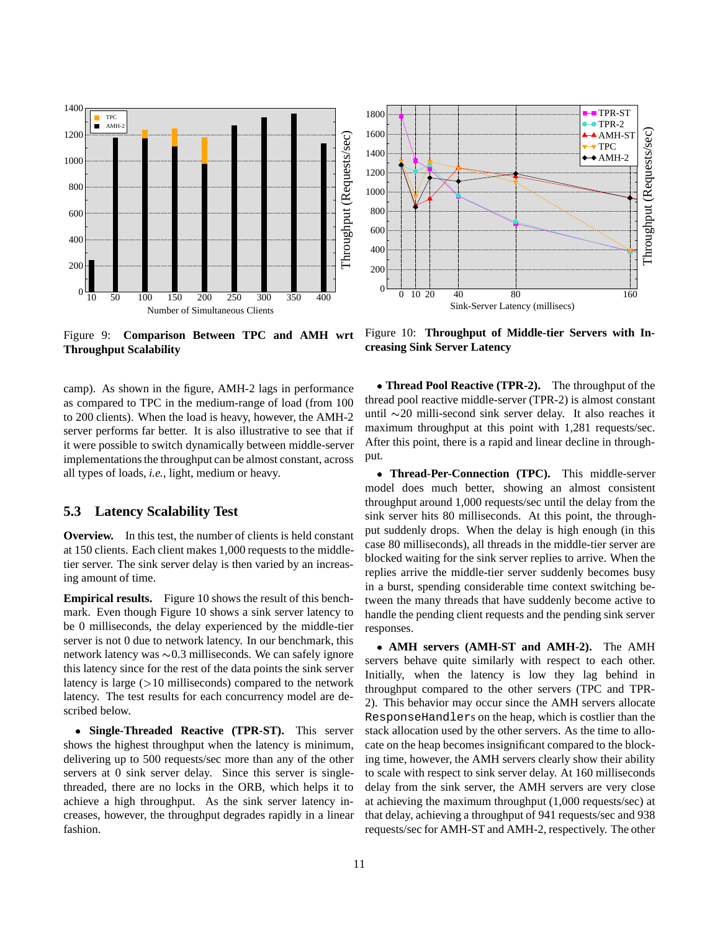

Figure 9: **Comparison Between TPC and AMH wrt Throughput Scalability**

camp). As shown in the figure, AMH-2 lags in performance as compared to TPC in the medium-range of load (from 100 to 200 clients). When the load is heavy, however, the AMH-2 server performs far better. It is also illustrative to see that if it were possible to switch dynamically between middle-server implementations the throughput can be almost constant, across all types of loads, *i.e.*, light, medium or heavy.

#### **5.3 Latency Scalability Test**

**Overview.** In this test, the number of clients is held constant at 150 clients. Each client makes 1,000 requests to the middletier server. The sink server delay is then varied by an increasing amount of time.

**Empirical results.** Figure 10 shows the result of this benchmark. Even though Figure 10 shows a sink server latency to be 0 milliseconds, the delay experienced by the middle-tier server is not 0 due to network latency. In our benchmark, this network latency was  $\sim 0.3$  milliseconds. We can safely ignore this latency since for the rest of the data points the sink server latency is large  $(>10$  milliseconds) compared to the network latency. The test results for each concurrency model are described below.

 **Single-Threaded Reactive (TPR-ST).** This server shows the highest throughput when the latency is minimum, delivering up to 500 requests/sec more than any of the other servers at 0 sink server delay. Since this server is singlethreaded, there are no locks in the ORB, which helps it to achieve a high throughput. As the sink server latency increases, however, the throughput degrades rapidly in a linear fashion.



Figure 10: **Throughput of Middle-tier Servers with Increasing Sink Server Latency**

 **Thread Pool Reactive (TPR-2).** The throughput of the thread pool reactive middle-server (TPR-2) is almost constant until  $\sim$ 20 milli-second sink server delay. It also reaches it maximum throughput at this point with 1,281 requests/sec. After this point, there is a rapid and linear decline in throughput.

 **Thread-Per-Connection (TPC).** This middle-server model does much better, showing an almost consistent throughput around 1,000 requests/sec until the delay from the sink server hits 80 milliseconds. At this point, the throughput suddenly drops. When the delay is high enough (in this case 80 milliseconds), all threads in the middle-tier server are blocked waiting for the sink server replies to arrive. When the replies arrive the middle-tier server suddenly becomes busy in a burst, spending considerable time context switching between the many threads that have suddenly become active to handle the pending client requests and the pending sink server responses.

 **AMH servers (AMH-ST and AMH-2).** The AMH servers behave quite similarly with respect to each other. Initially, when the latency is low they lag behind in throughput compared to the other servers (TPC and TPR-2). This behavior may occur since the AMH servers allocate ResponseHandlers on the heap, which is costlier than the stack allocation used by the other servers. As the time to allocate on the heap becomes insignificant compared to the blocking time, however, the AMH servers clearly show their ability to scale with respect to sink server delay. At 160 milliseconds delay from the sink server, the AMH servers are very close at achieving the maximum throughput (1,000 requests/sec) at that delay, achieving a throughput of 941 requests/sec and 938 requests/sec for AMH-ST and AMH-2, respectively. The other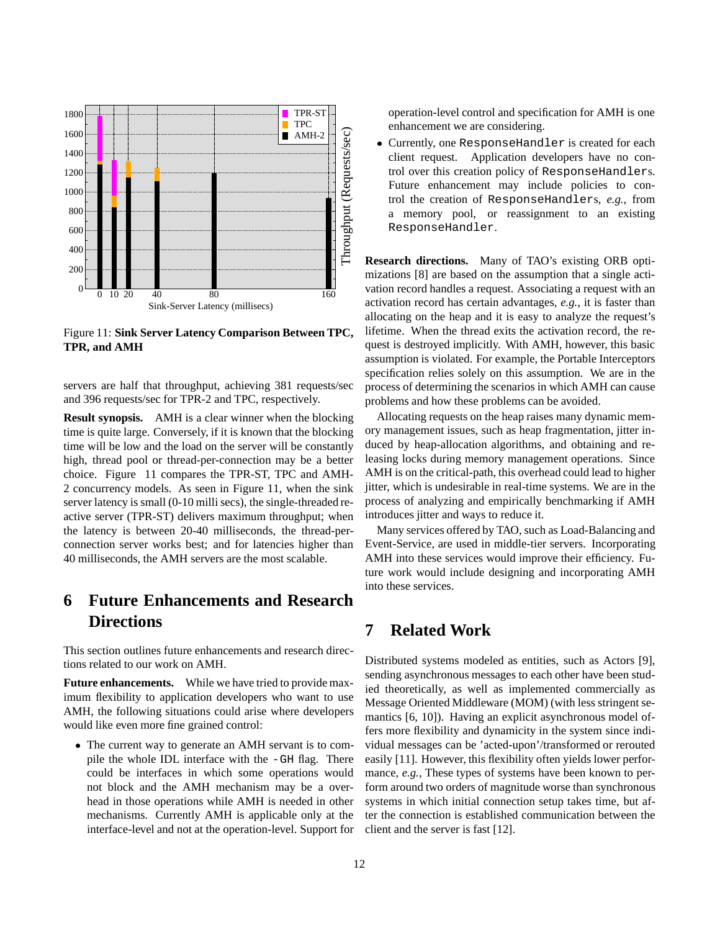

Figure 11: **Sink Server Latency Comparison Between TPC, TPR, and AMH**

servers are half that throughput, achieving 381 requests/sec and 396 requests/sec for TPR-2 and TPC, respectively.

**Result synopsis.** AMH is a clear winner when the blocking time is quite large. Conversely, if it is known that the blocking time will be low and the load on the server will be constantly high, thread pool or thread-per-connection may be a better choice. Figure 11 compares the TPR-ST, TPC and AMH-2 concurrency models. As seen in Figure 11, when the sink server latency is small (0-10 milli secs), the single-threaded reactive server (TPR-ST) delivers maximum throughput; when the latency is between 20-40 milliseconds, the thread-perconnection server works best; and for latencies higher than 40 milliseconds, the AMH servers are the most scalable.

# **6 Future Enhancements and Research Directions**

This section outlines future enhancements and research directions related to our work on AMH.

**Future enhancements.** While we have tried to provide maximum flexibility to application developers who want to use AMH, the following situations could arise where developers would like even more fine grained control:

• The current way to generate an AMH servant is to compile the whole IDL interface with the -GH flag. There could be interfaces in which some operations would not block and the AMH mechanism may be a overhead in those operations while AMH is needed in other mechanisms. Currently AMH is applicable only at the interface-level and not at the operation-level. Support for operation-level control and specification for AMH is one enhancement we are considering.

 Currently, one ResponseHandler is created for each client request. Application developers have no control over this creation policy of ResponseHandlers. Future enhancement may include policies to control the creation of ResponseHandlers, *e.g.*, from a memory pool, or reassignment to an existing ResponseHandler.

**Research directions.** Many of TAO's existing ORB optimizations [8] are based on the assumption that a single activation record handles a request. Associating a request with an activation record has certain advantages, *e.g.*, it is faster than allocating on the heap and it is easy to analyze the request's lifetime. When the thread exits the activation record, the request is destroyed implicitly. With AMH, however, this basic assumption is violated. For example, the Portable Interceptors specification relies solely on this assumption. We are in the process of determining the scenarios in which AMH can cause problems and how these problems can be avoided.

Allocating requests on the heap raises many dynamic memory management issues, such as heap fragmentation, jitter induced by heap-allocation algorithms, and obtaining and releasing locks during memory management operations. Since AMH is on the critical-path, this overhead could lead to higher jitter, which is undesirable in real-time systems. We are in the process of analyzing and empirically benchmarking if AMH introduces jitter and ways to reduce it.

Many services offered by TAO, such as Load-Balancing and Event-Service, are used in middle-tier servers. Incorporating AMH into these services would improve their efficiency. Future work would include designing and incorporating AMH into these services.

## **7 Related Work**

Distributed systems modeled as entities, such as Actors [9], sending asynchronous messages to each other have been studied theoretically, as well as implemented commercially as Message Oriented Middleware (MOM) (with less stringent semantics [6, 10]). Having an explicit asynchronous model offers more flexibility and dynamicity in the system since individual messages can be 'acted-upon'/transformed or rerouted easily [11]. However, this flexibility often yields lower performance, *e.g.*, These types of systems have been known to perform around two orders of magnitude worse than synchronous systems in which initial connection setup takes time, but after the connection is established communication between the client and the server is fast [12].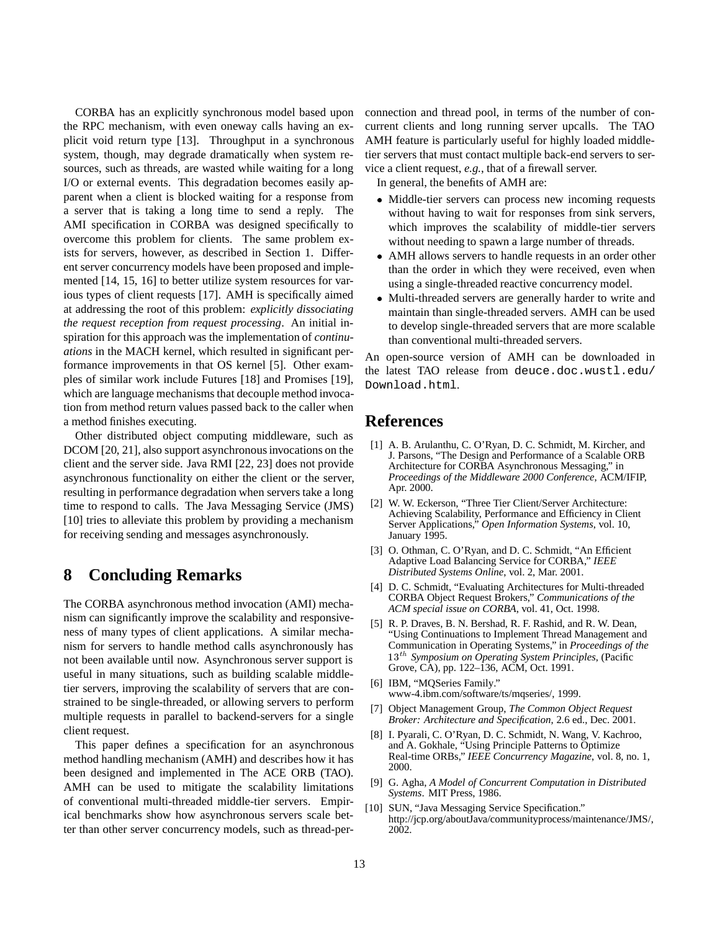CORBA has an explicitly synchronous model based upon the RPC mechanism, with even oneway calls having an explicit void return type [13]. Throughput in a synchronous system, though, may degrade dramatically when system resources, such as threads, are wasted while waiting for a long I/O or external events. This degradation becomes easily apparent when a client is blocked waiting for a response from a server that is taking a long time to send a reply. The AMI specification in CORBA was designed specifically to overcome this problem for clients. The same problem exists for servers, however, as described in Section 1. Different server concurrency models have been proposed and implemented [14, 15, 16] to better utilize system resources for various types of client requests [17]. AMH is specifically aimed at addressing the root of this problem: *explicitly dissociating the request reception from request processing*. An initial inspiration for this approach was the implementation of *continuations* in the MACH kernel, which resulted in significant performance improvements in that OS kernel [5]. Other examples of similar work include Futures [18] and Promises [19], which are language mechanisms that decouple method invocation from method return values passed back to the caller when a method finishes executing.

Other distributed object computing middleware, such as DCOM [20, 21], also support asynchronous invocations on the client and the server side. Java RMI [22, 23] does not provide asynchronous functionality on either the client or the server, resulting in performance degradation when servers take a long time to respond to calls. The Java Messaging Service (JMS) [10] tries to alleviate this problem by providing a mechanism for receiving sending and messages asynchronously.

## **8 Concluding Remarks**

The CORBA asynchronous method invocation (AMI) mechanism can significantly improve the scalability and responsiveness of many types of client applications. A similar mechanism for servers to handle method calls asynchronously has not been available until now. Asynchronous server support is useful in many situations, such as building scalable middletier servers, improving the scalability of servers that are constrained to be single-threaded, or allowing servers to perform multiple requests in parallel to backend-servers for a single client request.

This paper defines a specification for an asynchronous method handling mechanism (AMH) and describes how it has been designed and implemented in The ACE ORB (TAO). AMH can be used to mitigate the scalability limitations of conventional multi-threaded middle-tier servers. Empirical benchmarks show how asynchronous servers scale better than other server concurrency models, such as thread-perconnection and thread pool, in terms of the number of concurrent clients and long running server upcalls. The TAO AMH feature is particularly useful for highly loaded middletier servers that must contact multiple back-end servers to service a client request, *e.g.*, that of a firewall server.

In general, the benefits of AMH are:

- Middle-tier servers can process new incoming requests without having to wait for responses from sink servers, which improves the scalability of middle-tier servers without needing to spawn a large number of threads.
- AMH allows servers to handle requests in an order other than the order in which they were received, even when using a single-threaded reactive concurrency model.
- Multi-threaded servers are generally harder to write and maintain than single-threaded servers. AMH can be used to develop single-threaded servers that are more scalable than conventional multi-threaded servers.

An open-source version of AMH can be downloaded in the latest TAO release from deuce.doc.wustl.edu/ Download.html.

### **References**

- [1] A. B. Arulanthu, C. O'Ryan, D. C. Schmidt, M. Kircher, and J. Parsons, "The Design and Performance of a Scalable ORB Architecture for CORBA Asynchronous Messaging," in *Proceedings of the Middleware 2000 Conference*, ACM/IFIP, Apr. 2000.
- [2] W. W. Eckerson, "Three Tier Client/Server Architecture: Achieving Scalability, Performance and Efficiency in Client Server Applications," *Open Information Systems*, vol. 10, January 1995.
- [3] O. Othman, C. O'Ryan, and D. C. Schmidt, "An Efficient Adaptive Load Balancing Service for CORBA," *IEEE Distributed Systems Online*, vol. 2, Mar. 2001.
- [4] D. C. Schmidt, "Evaluating Architectures for Multi-threaded CORBA Object Request Brokers," *Communications of the ACM special issue on CORBA*, vol. 41, Oct. 1998.
- [5] R. P. Draves, B. N. Bershad, R. F. Rashid, and R. W. Dean, "Using Continuations to Implement Thread Management and Communication in Operating Systems," in *Proceedings of the* 13th *Symposium on Operating System Principles*, (Pacific Grove, CA), pp. 122–136, ACM, Oct. 1991.
- [6] IBM, "MQSeries Family." www-4.ibm.com/software/ts/mqseries/, 1999.
- [7] Object Management Group, *The Common Object Request Broker: Architecture and Specification*, 2.6 ed., Dec. 2001.
- [8] I. Pyarali, C. O'Ryan, D. C. Schmidt, N. Wang, V. Kachroo, and A. Gokhale, "Using Principle Patterns to Optimize Real-time ORBs," *IEEE Concurrency Magazine*, vol. 8, no. 1, 2000.
- [9] G. Agha, *A Model of Concurrent Computation in Distributed Systems*. MIT Press, 1986.
- [10] SUN, "Java Messaging Service Specification." http://jcp.org/aboutJava/communityprocess/maintenance/JMS/, 2002.